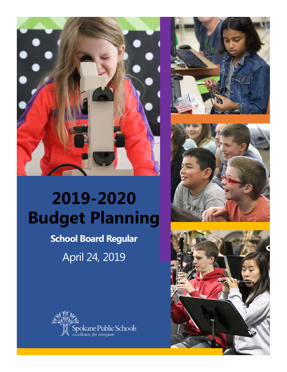







# **2019-2020 Budget Planning**

### **School Board Regular** April 24, 2019

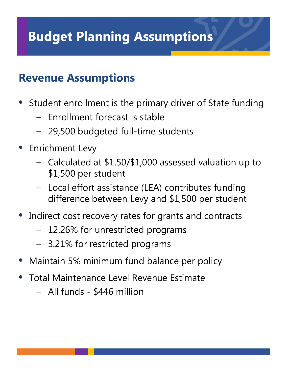# **Budget Planning Assumptions**

#### **Revenue Assumptions**

• Student enrollment is the primary driver of State funding

- − Enrollment forecast is stable
- − 29,500 budgeted full-time students
- Enrichment Levy
	- − Calculated at \$1.50/\$1,000 assessed valuation up to \$1,500 per student
	- − Local effort assistance (LEA) contributes funding difference between Levy and \$1,500 per student
- Indirect cost recovery rates for grants and contracts
	- − 12.26% for unrestricted programs
	- − 3.21% for restricted programs
- Maintain 5% minimum fund balance per policy
- Total Maintenance Level Revenue Estimate
	- − All funds \$446 million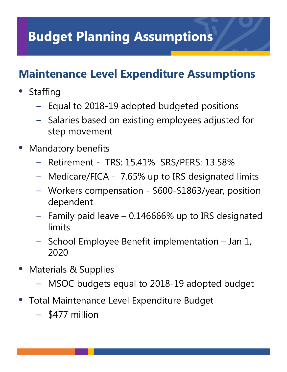## **Budget Planning Assumptions**

#### **Maintenance Level Expenditure Assumptions**

- **Staffing** 
	- − Equal to 2018-19 adopted budgeted positions
	- − Salaries based on existing employees adjusted for step movement
- Mandatory benefits
	- − Retirement TRS: 15.41% SRS/PERS: 13.58%
	- − Medicare/FICA 7.65% up to IRS designated limits
	- − Workers compensation \$600-\$1863/year, position dependent
	- − Family paid leave 0.146666% up to IRS designated limits
	- − School Employee Benefit implementation Jan 1, 2020
- Materials & Supplies
	- − MSOC budgets equal to 2018-19 adopted budget
- Total Maintenance Level Expenditure Budget
	- − \$477 million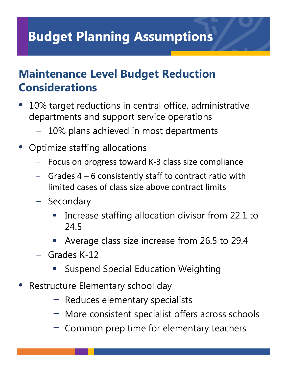# **Budget Planning Assumptions**

#### **Maintenance Level Budget Reduction Considerations**

- 10% target reductions in central office, administrative departments and support service operations
	- − 10% plans achieved in most departments
- Optimize staffing allocations
	- Focus on progress toward K-3 class size compliance
	- Grades  $4 6$  consistently staff to contract ratio with limited cases of class size above contract limits
	- − Secondary
		- Increase staffing allocation divisor from 22.1 to 24.5
		- Average class size increase from 26.5 to 29.4
	- − Grades K-12
		- Suspend Special Education Weighting
- Restructure Elementary school day
	- − Reduces elementary specialists
	- − More consistent specialist offers across schools
	- − Common prep time for elementary teachers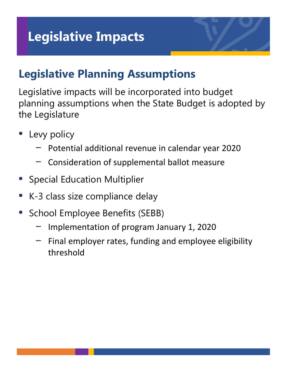#### **Legislative Planning Assumptions**

Legislative impacts will be incorporated into budget planning assumptions when the State Budget is adopted by the Legislature

- Levy policy
	- − Potential additional revenue in calendar year 2020
	- − Consideration of supplemental ballot measure
- Special Education Multiplier
- K-3 class size compliance delay
- School Employee Benefits (SEBB)
	- − Implementation of program January 1, 2020
	- Final employer rates, funding and employee eligibility threshold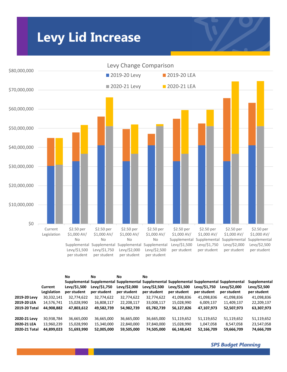### **Levy Lid Increase**



|               |                        | No                          | Νo                          | Νo                          | No.                         |                             |                             |                                                                                                                           |                                             |
|---------------|------------------------|-----------------------------|-----------------------------|-----------------------------|-----------------------------|-----------------------------|-----------------------------|---------------------------------------------------------------------------------------------------------------------------|---------------------------------------------|
|               | Current<br>Legislation | Levy/\$1,500<br>per student | Levv/\$1,750<br>per student | Levy/\$2,000<br>per student | Levv/\$2,500<br>per student | Levy/\$1,500<br>per student | Levy/\$1,750<br>per student | Supplemental Supplemental Supplemental Supplemental Supplemental Supplemental Supplemental<br>Levy/\$2,000<br>per student | Supplemental<br>Levy/\$2,500<br>per student |
| 2019-20 Levy  | 30,332,141             | 32,774,622                  | 32,774,622                  | 32,774,622                  | 32,774,622                  | 41,098,836                  | 41,098,836                  | 41,098,836                                                                                                                | 41,098,836                                  |
| 2019-20 LEA   | 14,576,741             | 15,028,990                  | 16,808,117                  | 22,208,117                  | 33,008,117                  | 15,028,990                  | 6,009,137                   | 11,409,137                                                                                                                | 22,209,137                                  |
| 2019-20 Total | 44,908,882             | 47,803,612                  | 49,582,739                  | 54,982,739                  | 65,782,739                  | 56,127,826                  | 47,107,973                  | 52,507,973                                                                                                                | 63,307,973                                  |
| 2020-21 Levy  | 30,938,784             | 36,665,000                  | 36,665,000                  | 36,665,000                  | 36,665,000                  | 51,119,652                  | 51,119,652                  | 51,119,652                                                                                                                | 51,119,652                                  |
| 2020-21 LEA   | 13,960,239             | 15,028,990                  | 15,340,000                  | 22,840,000                  | 37,840,000                  | 15,028,990                  | 1,047,058                   | 8,547,058                                                                                                                 | 23,547,058                                  |
| 2020-21 Total | 44,899,023             | 51,693,990                  | 52.005.000                  | 59,505,000                  | 74,505,000                  | 66,148,642                  | 52,166,709                  | 59,666,709                                                                                                                | 74,666,709                                  |

*SPS Budget Planning*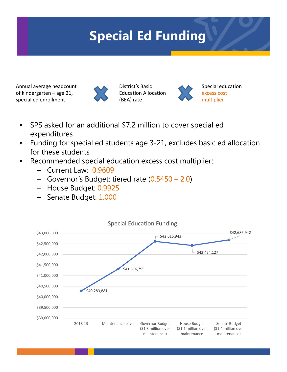# **Special Ed Funding**

Annual average headcount of kindergarten – age 21, special ed enrollment



District's Basic Education Allocation (BEA) rate



Special education excess cost multiplier

- SPS asked for an additional \$7.2 million to cover special ed expenditures
- Funding for special ed students age 3-21, excludes basic ed allocation for these students
- Recommended special education excess cost multiplier:
	- − Current Law: 0.9609
	- − Governor's Budget: tiered rate (0.5450 2.0)
	- − House Budget: 0.9925
	- − Senate Budget: 1.000

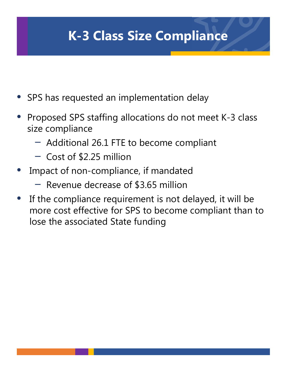# **K-3 Class Size Compliance**

- SPS has requested an implementation delay
- Proposed SPS staffing allocations do not meet K-3 class size compliance
	- − Additional 26.1 FTE to become compliant
	- − Cost of \$2.25 million
- Impact of non-compliance, if mandated
	- − Revenue decrease of \$3.65 million
- If the compliance requirement is not delayed, it will be more cost effective for SPS to become compliant than to lose the associated State funding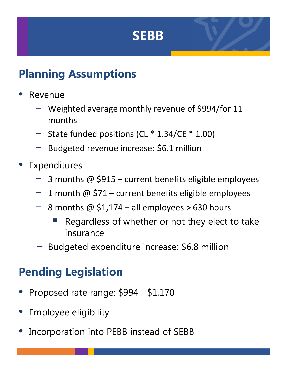### **SEBB**

#### **Planning Assumptions**

- Revenue
	- − Weighted average monthly revenue of \$994/for 11 months
	- − State funded positions (CL \* 1.34/CE \* 1.00)
	- − Budgeted revenue increase: \$6.1 million
- **Expenditures** 
	- − 3 months @ \$915 current benefits eligible employees
	- − 1 month @ \$71 current benefits eligible employees
	- − 8 months @ \$1,174 all employees > 630 hours
		- Regardless of whether or not they elect to take insurance
	- Budgeted expenditure increase: \$6.8 million

#### **Pending Legislation**

- Proposed rate range: \$994 \$1,170
- Employee eligibility
- Incorporation into PEBB instead of SEBB